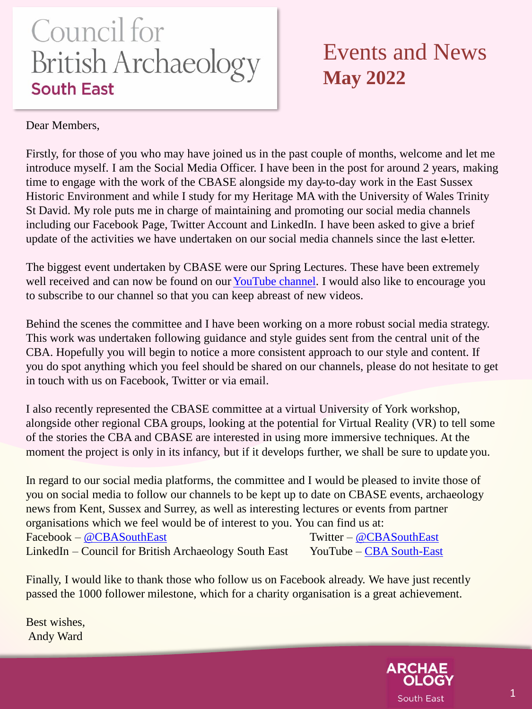# Council for **British Archaeology South East**

## Events and News **May 2022**

#### Dear Members,

Firstly, for those of you who may have joined us in the past couple of months, welcome and let me introduce myself. I am the Social Media Officer. I have been in the post for around 2 years, making time to engage with the work of the CBASE alongside my day-to-day work in the East Sussex Historic Environment and while I study for my Heritage MA with the University of Wales Trinity St David. My role puts me in charge of maintaining and promoting our social media channels including our Facebook Page, Twitter Account and LinkedIn. I have been asked to give a brief update of the activities we have undertaken on our social media channels since the last e-letter.

The biggest event undertaken by CBASE were our Spring Lectures. These have been extremely well received and can now be found on our [YouTube channel.](https://www.youtube.com/channel/UCOaHqegSBBgn-JAlanjQvRg) I would also like to encourage you to subscribe to our channel so that you can keep abreast of new videos.

Behind the scenes the committee and I have been working on a more robust social media strategy. This work was undertaken following guidance and style guides sent from the central unit of the CBA. Hopefully you will begin to notice a more consistent approach to our style and content. If you do spot anything which you feel should be shared on our channels, please do not hesitate to get in touch with us on Facebook, Twitter or via email.

I also recently represented the CBASE committee at a virtual University of York workshop, alongside other regional CBA groups, looking at the potential for Virtual Reality (VR) to tell some of the stories the CBA and CBASE are interested in using more immersive techniques. At the moment the project is only in its infancy, but if it develops further, we shall be sure to update you.

In regard to our social media platforms, the committee and I would be pleased to invite those of you on social media to follow our channels to be kept up to date on CBASE events, archaeology news from Kent, Sussex and Surrey, as well as interesting lectures or events from partner organisations which we feel would be of interest to you. You can find us at: Facebook – [@CBASouthEast](https://twitter.com/CBASouthEast) Twitter – @CBASouthEast LinkedIn – Council for British Archaeology South East YouTube – [CBA South-East](https://www.youtube.com/channel/UCOaHqegSBBgn-JAIanjQvRg)

Finally, I would like to thank those who follow us on Facebook already. We have just recently passed the 1000 follower milestone, which for a charity organisation is a great achievement.

Best wishes, Andy Ward

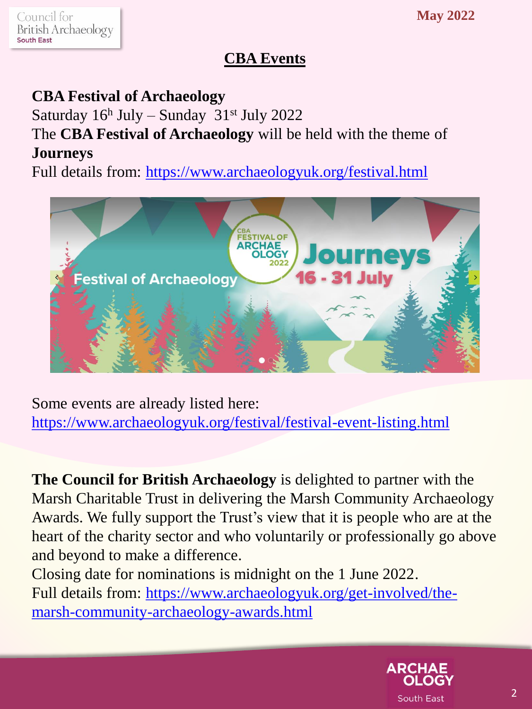#### **May 2022**

## **CBA Events**

## **CBA Festival of Archaeology**

Saturday 16<sup>h</sup> July – Sunday 31<sup>st</sup> July 2022 The **CBA Festival of Archaeology** will be held with the theme of **Journeys**

Full details from: <https://www.archaeologyuk.org/festival.html>



Some events are already listed here: <https://www.archaeologyuk.org/festival/festival-event-listing.html>

**The Council for British Archaeology** is delighted to partner with the Marsh Charitable Trust in delivering the Marsh Community Archaeology Awards. We fully support the Trust's view that it is people who are at the heart of the charity sector and who voluntarily or professionally go above and beyond to make a difference.

Closing date for nominations is midnight on the 1 June 2022. [Full details from: https://www.archaeologyuk.org/get-involved/the](https://www.archaeologyuk.org/get-involved/the-marsh-community-archaeology-awards.html)marsh-community-archaeology-awards.html

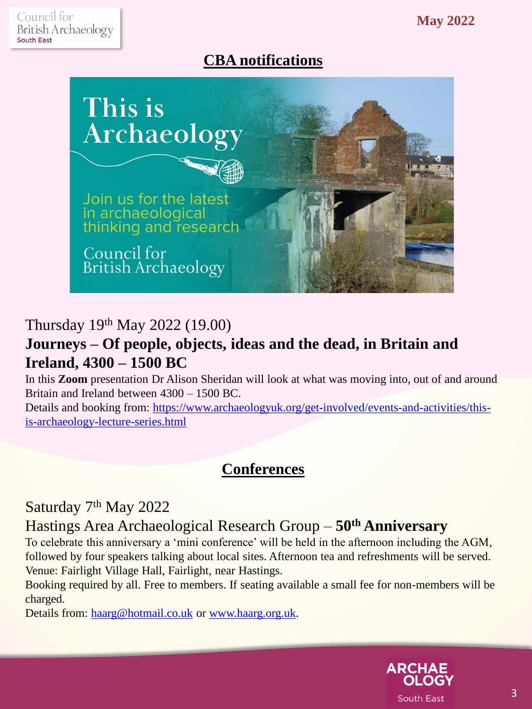## **CBA notifications**



#### Thursday 19th May 2022 (19.00)

#### **Journeys – Of people, objects, ideas and the dead, in Britain and Ireland, 4300 – 1500 BC**

In this **Zoom** presentation Dr Alison Sheridan will look at what was moving into, out of and around Britain and Ireland between 4300 – 1500 BC.

[Details and booking from: https://www.archaeologyuk.org/get-involved/events-and-activities/this](https://www.archaeologyuk.org/get-involved/events-and-activities/this-is-archaeology-lecture-series.html)is-archaeology-lecture-series.html

## **Conferences**

#### Saturday 7<sup>th</sup> May 2022

#### Hastings Area Archaeological Research Group – **50th Anniversary**

To celebrate this anniversary a 'mini conference' will be held in the afternoon including the AGM, followed by four speakers talking about local sites. Afternoon tea and refreshments will be served. Venue: Fairlight Village Hall, Fairlight, near Hastings.

Booking required by all. Free to members. If seating available a small fee for non-members will be charged.

Details from: [haarg@hotmail.co.uk](mailto:haarg@hotmail.co.uk) or [www.haarg.org.uk](http://www.haarg.org.uk/).

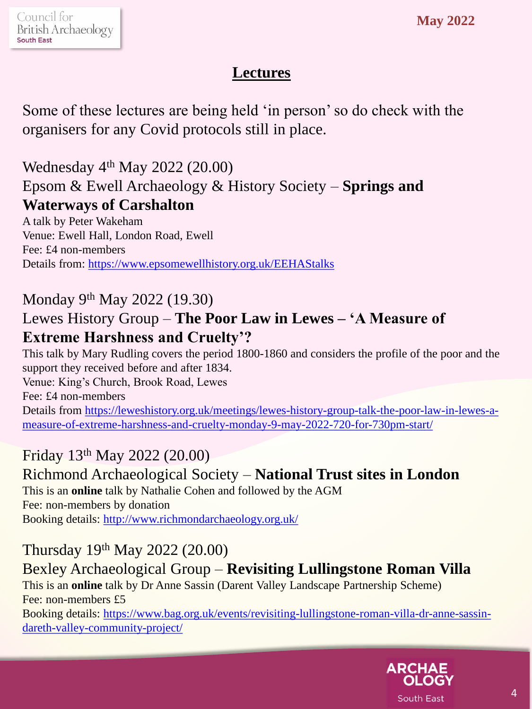#### **Lectures**

Some of these lectures are being held 'in person' so do check with the organisers for any Covid protocols still in place.

Wednesday 4th May 2022 (20.00) Epsom & Ewell Archaeology & History Society – **Springs and Waterways of Carshalton**

A talk by Peter Wakeham Venue: Ewell Hall, London Road, Ewell Fee: £4 non-members Details from: <https://www.epsomewellhistory.org.uk/EEHAStalks>

#### Monday 9th May 2022 (19.30) Lewes History Group – **The Poor Law in Lewes – 'A Measure of Extreme Harshness and Cruelty'?**

This talk by Mary Rudling covers the period 1800-1860 and considers the profile of the poor and the support they received before and after 1834. Venue: King's Church, Brook Road, Lewes Fee: £4 non-members Details from https://leweshistory.org.uk/meetings/lewes-history-group-talk-the-poor-law-in-lewes-a[measure-of-extreme-harshness-and-cruelty-monday-9-may-2022-720-for-730pm-start/](https://leweshistory.org.uk/meetings/lewes-history-group-talk-the-poor-law-in-lewes-a-measure-of-extreme-harshness-and-cruelty-monday-9-may-2022-720-for-730pm-start/)

#### Friday 13th May 2022 (20.00) Richmond Archaeological Society – **National Trust sites in London** This is an **online** talk by Nathalie Cohen and followed by the AGM Fee: non-members by donation Booking details: <http://www.richmondarchaeology.org.uk/>

## Thursday 19th May 2022 (20.00)

Bexley Archaeological Group – **Revisiting Lullingstone Roman Villa** This is an **online** talk by Dr Anne Sassin (Darent Valley Landscape Partnership Scheme) Fee: non-members £5 [Booking details: https://www.bag.org.uk/events/revisiting-lullingstone-roman-villa-dr-anne-sassin](https://www.bag.org.uk/events/revisiting-lullingstone-roman-villa-dr-anne-sassin-dareth-valley-community-project/)dareth-valley-community-project/

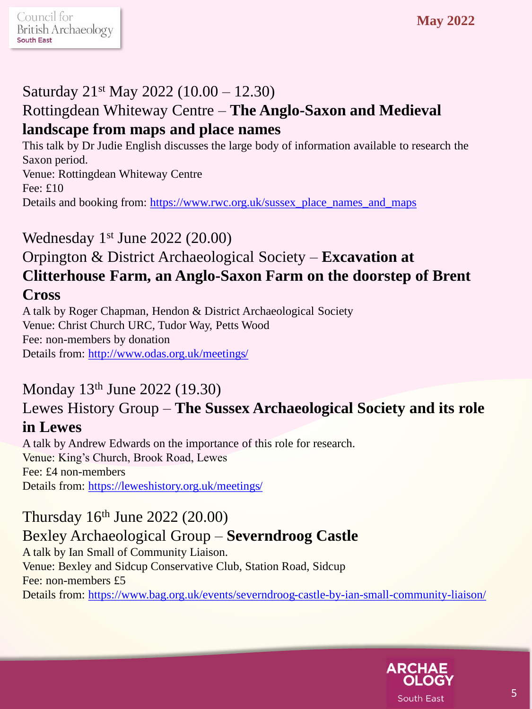## Saturday 21st May 2022 (10.00 – 12.30)

## Rottingdean Whiteway Centre – **The Anglo-Saxon and Medieval landscape from maps and place names**

This talk by Dr Judie English discusses the large body of information available to research the Saxon period. Venue: Rottingdean Whiteway Centre Fee: £10 Details and booking from: [https://www.rwc.org.uk/sussex\\_place\\_names\\_and\\_maps](https://www.rwc.org.uk/sussex_place_names_and_maps)

#### Wednesday 1st June 2022 (20.00)

## Orpington & District Archaeological Society – **Excavation at Clitterhouse Farm, an Anglo-Saxon Farm on the doorstep of Brent Cross**

A talk by Roger Chapman, Hendon & District Archaeological Society Venue: Christ Church URC, Tudor Way, Petts Wood Fee: non-members by donation Details from: <http://www.odas.org.uk/meetings/>

#### Monday 13th June 2022 (19.30)

#### Lewes History Group – **The Sussex Archaeological Society and its role in Lewes**

A talk by Andrew Edwards on the importance of this role for research. Venue: King's Church, Brook Road, Lewes Fee: £4 non-members Details from: <https://leweshistory.org.uk/meetings/>

#### Thursday 16th June 2022 (20.00)

#### Bexley Archaeological Group – **Severndroog Castle**

A talk by Ian Small of Community Liaison. Venue: Bexley and Sidcup Conservative Club, Station Road, Sidcup Fee: non-members £5 Details from: <https://www.bag.org.uk/events/severndroog-castle-by-ian-small-community-liaison/>

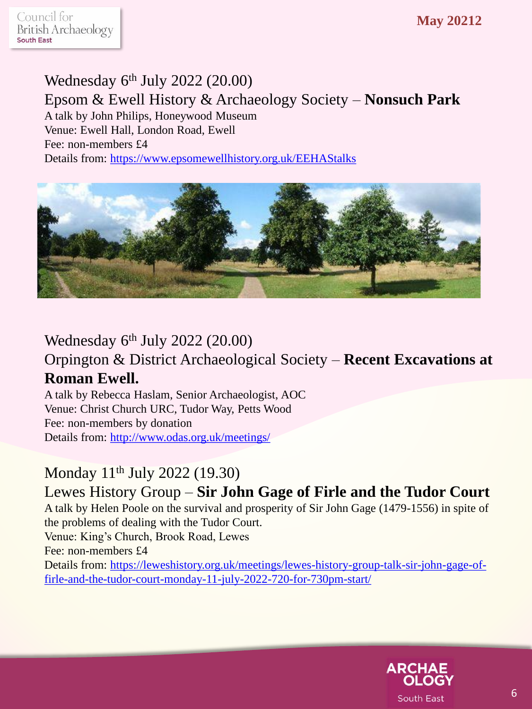#### **May 20212**

## Wednesday 6<sup>th</sup> July 2022 (20.00) Epsom & Ewell History & Archaeology Society – **Nonsuch Park**

A talk by John Philips, Honeywood Museum Venue: Ewell Hall, London Road, Ewell Fee: non-members £4

Details from: <https://www.epsomewellhistory.org.uk/EEHAStalks>



#### Wednesday 6<sup>th</sup> July 2022 (20.00)

#### Orpington & District Archaeological Society – **Recent Excavations at Roman Ewell.**

A talk by Rebecca Haslam, Senior Archaeologist, AOC Venue: Christ Church URC, Tudor Way, Petts Wood Fee: non-members by donation Details from: <http://www.odas.org.uk/meetings/>

## Monday 11th July 2022 (19.30)

Lewes History Group – **Sir John Gage of Firle and the Tudor Court** A talk by Helen Poole on the survival and prosperity of Sir John Gage (1479-1556) in spite of the problems of dealing with the Tudor Court. Venue: King's Church, Brook Road, Lewes Fee: non-members £4 [Details from: https://leweshistory.org.uk/meetings/lewes-history-group-talk-sir-john-gage-of](https://leweshistory.org.uk/meetings/lewes-history-group-talk-sir-john-gage-of-firle-and-the-tudor-court-monday-11-july-2022-720-for-730pm-start/)firle-and-the-tudor-court-monday-11-july-2022-720-for-730pm-start/

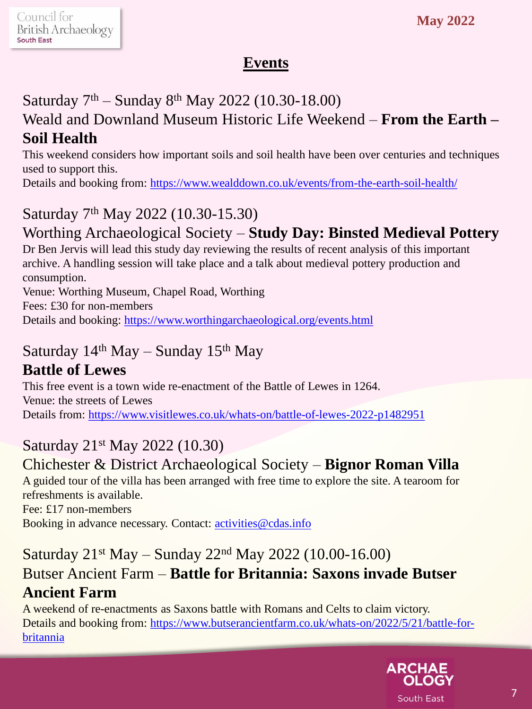## **Events**

#### Saturday 7th – Sunday 8th May 2022 (10.30-18.00)

## Weald and Downland Museum Historic Life Weekend – **From the Earth – Soil Health**

This weekend considers how important soils and soil health have been over centuries and techniques used to support this.

Details and booking from:<https://www.wealddown.co.uk/events/from-the-earth-soil-health/>

## Saturday 7th May 2022 (10.30-15.30)

## Worthing Archaeological Society – **Study Day: Binsted Medieval Pottery**

Dr Ben Jervis will lead this study day reviewing the results of recent analysis of this important archive. A handling session will take place and a talk about medieval pottery production and consumption.

Venue: Worthing Museum, Chapel Road, Worthing Fees: £30 for non-members Details and booking: <https://www.worthingarchaeological.org/events.html>

#### Saturday  $14<sup>th</sup>$  May – Sunday  $15<sup>th</sup>$  May

#### **Battle of Lewes**

This free event is a town wide re-enactment of the Battle of Lewes in 1264. Venue: the streets of Lewes Details from: <https://www.visitlewes.co.uk/whats-on/battle-of-lewes-2022-p1482951>

## Saturday 21st May 2022 (10.30)

## Chichester & District Archaeological Society – **Bignor Roman Villa**

A guided tour of the villa has been arranged with free time to explore the site. A tearoom for refreshments is available.

Fee: £17 non-members

Booking in advance necessary. Contact: [activities@cdas.info](mailto:activities@cdas.info)

## Saturday 21st May – Sunday 22nd May 2022 (10.00-16.00) Butser Ancient Farm – **Battle for Britannia: Saxons invade Butser Ancient Farm**

A weekend of re-enactments as Saxons battle with Romans and Celts to claim victory. [Details and booking from: https://www.butserancientfarm.co.uk/whats-on/2022/5/21/battle-for](https://www.butserancientfarm.co.uk/whats-on/2022/5/21/battle-for-britannia)britannia

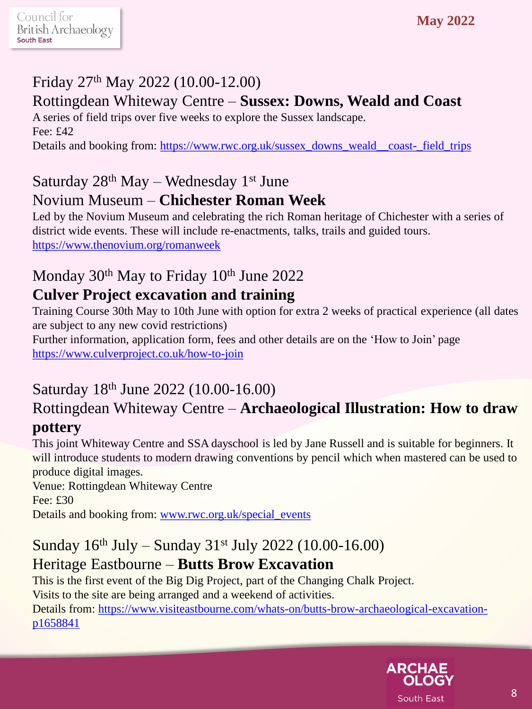## Friday 27th May 2022 (10.00-12.00)

## Rottingdean Whiteway Centre – **Sussex: Downs, Weald and Coast**

A series of field trips over five weeks to explore the Sussex landscape. Fee: £42

Details and booking from: https://www.rwc.org.uk/sussex\_downs\_weald\_coast-\_field\_trips

## Saturday  $28<sup>th</sup>$  May – Wednesday 1<sup>st</sup> June Novium Museum – **Chichester Roman Week**

Led by the Novium Museum and celebrating the rich Roman heritage of Chichester with a series of district wide events. These will include re-enactments, talks, trails and guided tours. <https://www.thenovium.org/romanweek>

#### Monday 30<sup>th</sup> May to Friday 10<sup>th</sup> June 2022 **Culver Project excavation and training**

Training Course 30th May to 10th June with option for extra 2 weeks of practical experience (all dates are subject to any new covid restrictions) Further information, application form, fees and other details are on the 'How to Join' page <https://www.culverproject.co.uk/how-to-join>

## Saturday 18th June 2022 (10.00-16.00)

#### Rottingdean Whiteway Centre – **Archaeological Illustration: How to draw pottery**

This joint Whiteway Centre and SSA dayschool is led by Jane Russell and is suitable for beginners. It will introduce students to modern drawing conventions by pencil which when mastered can be used to produce digital images.

Venue: Rottingdean Whiteway Centre

Fee: £30

Details and booking from: [www.rwc.org.uk/special\\_events](http://www.rwc.org.uk/special_events)

#### Sunday  $16^{th}$  July – Sunday  $31^{st}$  July  $2022$  (10.00-16.00) Heritage Eastbourne – **Butts Brow Excavation**

This is the first event of the Big Dig Project, part of the Changing Chalk Project. Visits to the site are being arranged and a weekend of activities. [Details from: https://www.visiteastbourne.com/whats-on/butts-brow-archaeological-excavation](https://www.visiteastbourne.com/whats-on/butts-brow-archaeological-excavation-p1658841)p1658841

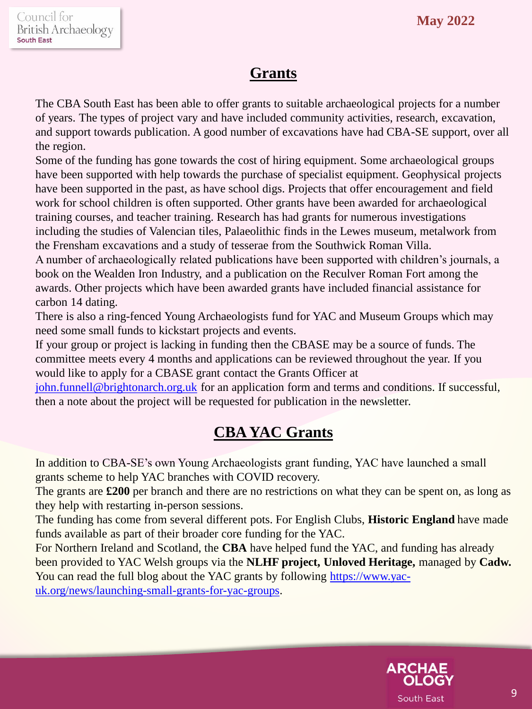#### **Grants**

The CBA South East has been able to offer grants to suitable archaeological projects for a number of years. The types of project vary and have included community activities, research, excavation, and support towards publication. A good number of excavations have had CBA-SE support, over all the region.

Some of the funding has gone towards the cost of hiring equipment. Some archaeological groups have been supported with help towards the purchase of specialist equipment. Geophysical projects have been supported in the past, as have school digs. Projects that offer encouragement and field work for school children is often supported. Other grants have been awarded for archaeological training courses, and teacher training. Research has had grants for numerous investigations including the studies of Valencian tiles, Palaeolithic finds in the Lewes museum, metalwork from the Frensham excavations and a study of tesserae from the Southwick Roman Villa.

A number of archaeologically related publications have been supported with children's journals, a book on the Wealden Iron Industry, and a publication on the Reculver Roman Fort among the awards. Other projects which have been awarded grants have included financial assistance for carbon 14 dating.

There is also a ring-fenced Young Archaeologists fund for YAC and Museum Groups which may need some small funds to kickstart projects and events.

If your group or project is lacking in funding then the CBASE may be a source of funds. The committee meets every 4 months and applications can be reviewed throughout the year. If you would like to apply for a CBASE grant contact the Grants Officer at

[john.funnell@brightonarch.org.uk](mailto:john.funnell@brightonarch.org.uk) for an application form and terms and conditions. If successful, then a note about the project will be requested for publication in the newsletter.

## **CBA YAC Grants**

In addition to CBA-SE's own Young Archaeologists grant funding, YAC have launched a small grants scheme to help YAC branches with COVID recovery.

The grants are **£200** per branch and there are no restrictions on what they can be spent on, as long as they help with restarting in-person sessions.

The funding has come from several different pots. For English Clubs, **Historic England** have made funds available as part of their broader core funding for the YAC.

For Northern Ireland and Scotland, the **CBA** have helped fund the YAC, and funding has already been provided to YAC Welsh groups via the **NLHF project, Unloved Heritage,** managed by **Cadw.** [You can read the full blog about the YAC grants by following https://www.yac](https://www.yac-uk.org/news/launching-small-grants-for-yac-groups)uk.org/news/launching-small-grants-for-yac-groups.